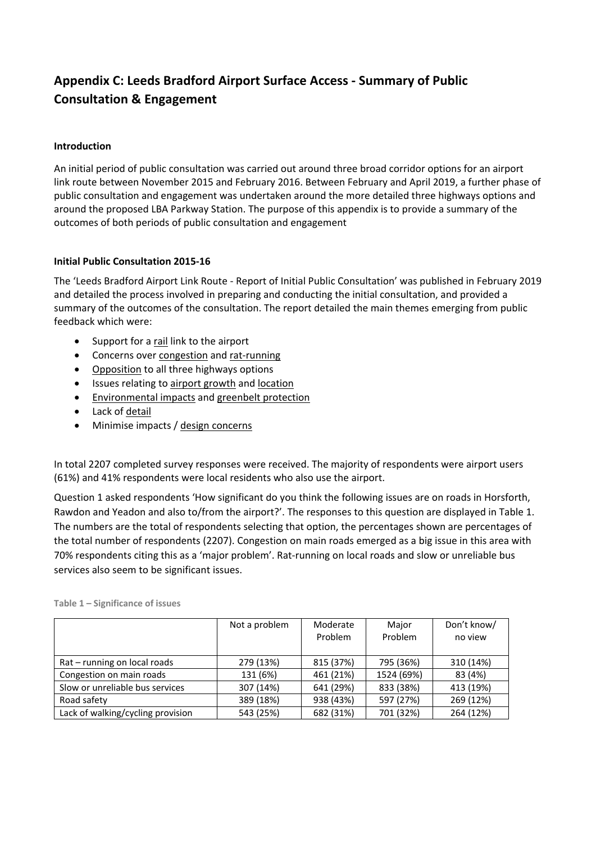## **Appendix C: Leeds Bradford Airport Surface Access ‐ Summary of Public Consultation & Engagement**

## **Introduction**

An initial period of public consultation was carried out around three broad corridor options for an airport link route between November 2015 and February 2016. Between February and April 2019, a further phase of public consultation and engagement was undertaken around the more detailed three highways options and around the proposed LBA Parkway Station. The purpose of this appendix is to provide a summary of the outcomes of both periods of public consultation and engagement

## **Initial Public Consultation 2015‐16**

The 'Leeds Bradford Airport Link Route ‐ Report of Initial Public Consultation' was published in February 2019 and detailed the process involved in preparing and conducting the initial consultation, and provided a summary of the outcomes of the consultation. The report detailed the main themes emerging from public feedback which were:

- Support for a rail link to the airport
- Concerns over congestion and rat-running
- Opposition to all three highways options
- Issues relating to airport growth and location
- **•** Environmental impacts and greenbelt protection
- Lack of detail
- Minimise impacts / design concerns

In total 2207 completed survey responses were received. The majority of respondents were airport users (61%) and 41% respondents were local residents who also use the airport.

Question 1 asked respondents 'How significant do you think the following issues are on roads in Horsforth, Rawdon and Yeadon and also to/from the airport?'. The responses to this question are displayed in Table 1. The numbers are the total of respondents selecting that option, the percentages shown are percentages of the total number of respondents (2207). Congestion on main roads emerged as a big issue in this area with 70% respondents citing this as a 'major problem'. Rat‐running on local roads and slow or unreliable bus services also seem to be significant issues.

|                                   | Not a problem | Moderate<br>Problem | Major<br>Problem | Don't know/<br>no view |
|-----------------------------------|---------------|---------------------|------------------|------------------------|
| Rat – running on local roads      | 279 (13%)     | 815 (37%)           | 795 (36%)        | 310 (14%)              |
| Congestion on main roads          | 131 (6%)      | 461 (21%)           | 1524 (69%)       | 83 (4%)                |
| Slow or unreliable bus services   | 307 (14%)     | 641 (29%)           | 833 (38%)        | 413 (19%)              |
| Road safety                       | 389 (18%)     | 938 (43%)           | 597 (27%)        | 269 (12%)              |
| Lack of walking/cycling provision | 543 (25%)     | 682 (31%)           | 701 (32%)        | 264 (12%)              |

**Table 1 – Significance of issues**